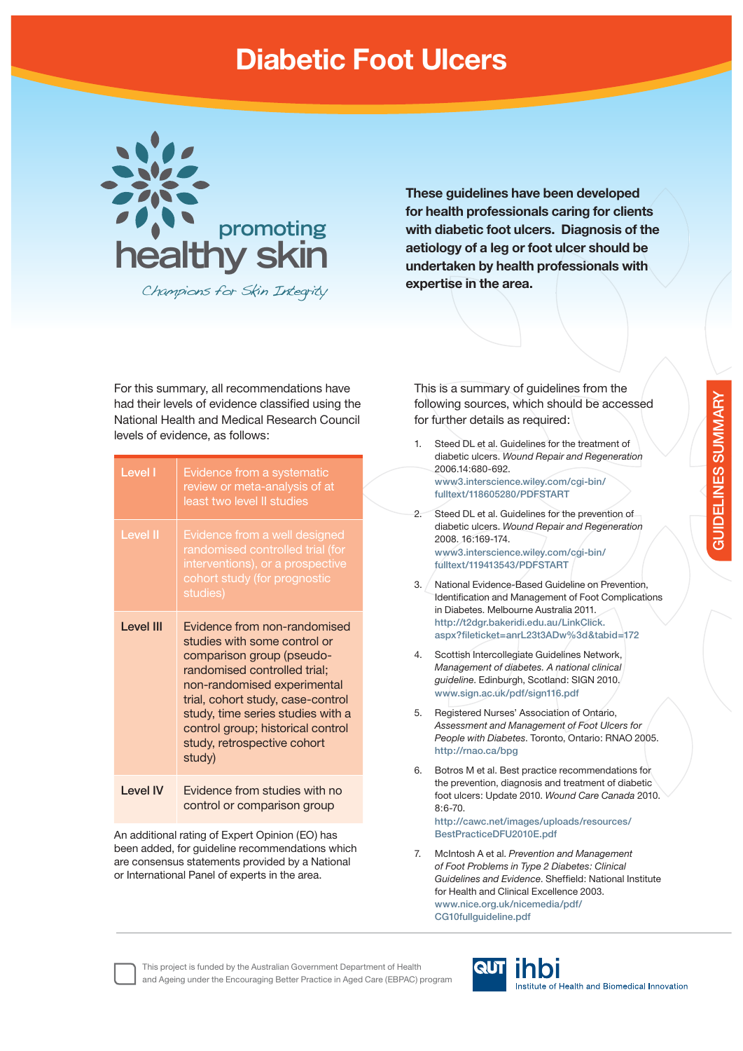## **Diabetic Foot Ulcers**



Champions for Skin Integrity

**These guidelines have been developed for health professionals caring for clients with diabetic foot ulcers. Diagnosis of the aetiology of a leg or foot ulcer should be undertaken by health professionals with expertise in the area.**

For this summary, all recommendations have had their levels of evidence classified using the National Health and Medical Research Council levels of evidence, as follows:

| <b>Level I</b>   | Evidence from a systematic<br>review or meta-analysis of at<br>least two level II studies                                                                                                                                                                                                                        |
|------------------|------------------------------------------------------------------------------------------------------------------------------------------------------------------------------------------------------------------------------------------------------------------------------------------------------------------|
| <b>Level II</b>  | Evidence from a well designed<br>randomised controlled trial (for<br>interventions), or a prospective<br>cohort study (for prognostic<br>studies)                                                                                                                                                                |
| <b>Level III</b> | Evidence from non-randomised<br>studies with some control or<br>comparison group (pseudo-<br>randomised controlled trial;<br>non-randomised experimental<br>trial, cohort study, case-control<br>study, time series studies with a<br>control group; historical control<br>study, retrospective cohort<br>study) |
| <b>Level IV</b>  | Evidence from studies with no<br>control or comparison group                                                                                                                                                                                                                                                     |

An additional rating of Expert Opinion (EO) has been added, for guideline recommendations which are consensus statements provided by a National or International Panel of experts in the area.

This is a summary of guidelines from the following sources, which should be accessed for further details as required:

1. Steed DL et al. Guidelines for the treatment of diabetic ulcers. *Wound Repair and Regeneration*  2006.14:680-692. **www3.interscience.wiley.com/cgi-bin/ fulltext/118605280/PDFSTART** 2. Steed DL et al. Guidelines for the prevention of diabetic ulcers. *Wound Repair and Regeneration* 2008. 16:169-174. **www3.interscience.wiley.com/cgi-bin/ fulltext/119413543/PDFSTART** 3. / National Evidence-Based Guideline on Prevention, Identification and Management of Foot Complications in Diabetes. Melbourne Australia 2011. **http://t2dgr.bakeridi.edu.au/LinkClick. aspx?fi leticket=anrL23t3ADw%3d&tabid=172** Scottish Intercollegiate Guidelines Network, *Management of diabetes. A national clinical guideline*. Edinburgh, Scotland: SIGN 2010. **www.sign.ac.uk/pdf/sign116.pdf** 5. Registered Nurses' Association of Ontario, *Assessment and Management of Foot Ulcers for People with Diabetes*. Toronto, Ontario: RNAO 2005. **http://rnao.ca/bpg** 6. Botros M et al. Best practice recommendations for the prevention, diagnosis and treatment of diabetic foot ulcers: Update 2010. *Wound Care Canada* 2010. 8:6-70. **http://cawc.net/images/uploads/resources/ BestPracticeDFU2010E.pdf** 7. McIntosh A et al. *Prevention and Management of Foot Problems in Type 2 Diabetes: Clinical*  Guidelines and Evidence. Sheffield: National Institute for Health and Clinical Excellence 2003.

> **www.nice.org.uk/nicemedia/pdf/ CG10fullguideline.pdf**

**GUIDELINES SUMMARY GUIDELINES SUMMARY** 

This project is funded by the Australian Government Department of Health and Ageing under the Encouraging Better Practice in Aged Care (EBPAC) program

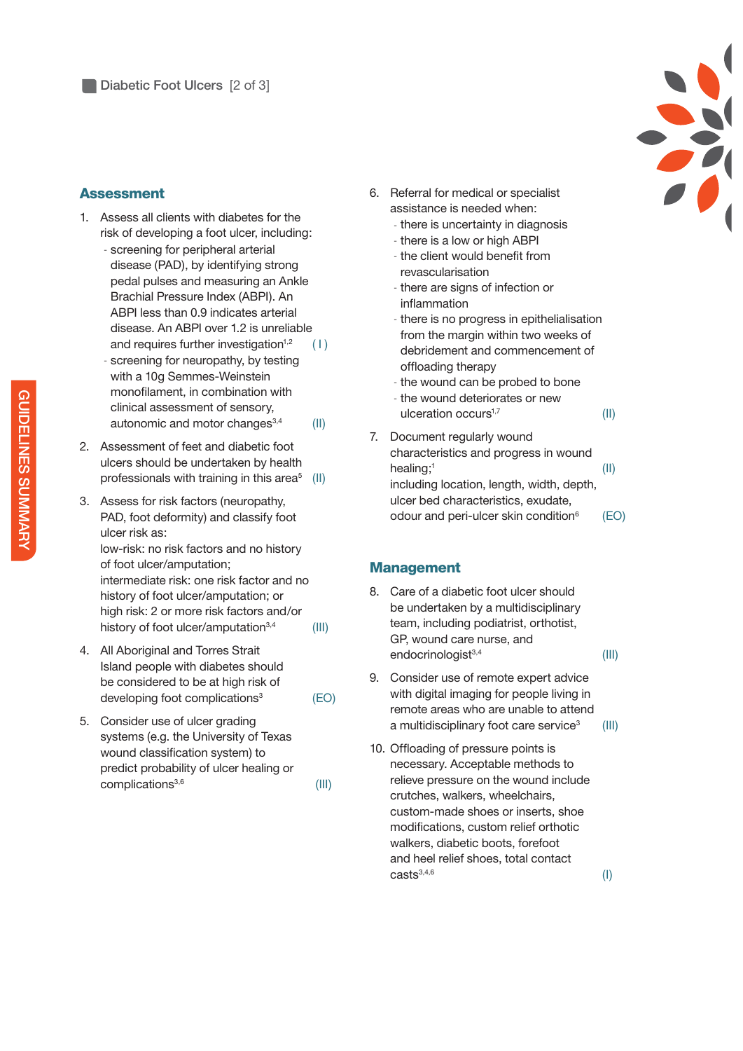## **Assessment**

- 1. Assess all clients with diabetes for the risk of developing a foot ulcer, including:
	- screening for peripheral arterial disease (PAD), by identifying strong pedal pulses and measuring an Ankle Brachial Pressure Index (ABPI). An ABPI less than 0.9 indicates arterial disease. An ABPI over 1.2 is unreliable and requires further investigation $1,2$  (1)
		- screening for neuropathy, by testing with a 10g Semmes-Weinstein monofilament, in combination with clinical assessment of sensory, autonomic and motor changes $^{3,4}$  (II)
- 2. Assessment of feet and diabetic foot ulcers should be undertaken by health professionals with training in this area<sup>5</sup>  $(II)$
- 3. Assess for risk factors (neuropathy, PAD, foot deformity) and classify foot ulcer risk as: low-risk: no risk factors and no history of foot ulcer/amputation; intermediate risk: one risk factor and no history of foot ulcer/amputation; or high risk: 2 or more risk factors and/or history of foot ulcer/amputation $3,4$  (III)
- 4. All Aboriginal and Torres Strait Island people with diabetes should be considered to be at high risk of  $developing foot complications<sup>3</sup>$  (EO)
- 5. Consider use of ulcer grading systems (e.g. the University of Texas wound classification system) to predict probability of ulcer healing or complications3,6 (III)
- 6. Referral for medical or specialist assistance is needed when:
	- there is uncertainty in diagnosis
	- there is a low or high ABPI
	- the client would benefit from revascularisation
	- there are signs of infection or inflammation
	- there is no progress in epithelialisation from the margin within two weeks of debridement and commencement of offloading therapy
	- the wound can be probed to bone - the wound deteriorates or new  $ulceration occurs<sup>1,7</sup>$  (II)
		-
- 7. Document regularly wound characteristics and progress in wound healing;<sup>1</sup> (II) including location, length, width, depth, ulcer bed characteristics, exudate, odour and peri-ulcer skin condition $6$  (EO)

## **Management**

8. Care of a diabetic foot ulcer should be undertaken by a multidisciplinary team, including podiatrist, orthotist, GP, wound care nurse, and endocrinologist<sup>3,4</sup> (III)

- 9. Consider use of remote expert advice with digital imaging for people living in remote areas who are unable to attend a multidisciplinary foot care service<sup>3</sup> (III)
- 10. Offloading of pressure points is necessary. Acceptable methods to relieve pressure on the wound include crutches, walkers, wheelchairs, custom-made shoes or inserts, shoe modifications, custom relief orthotic walkers, diabetic boots, forefoot and heel relief shoes, total contact  $\text{casts}^{3,4,6}$  (1)